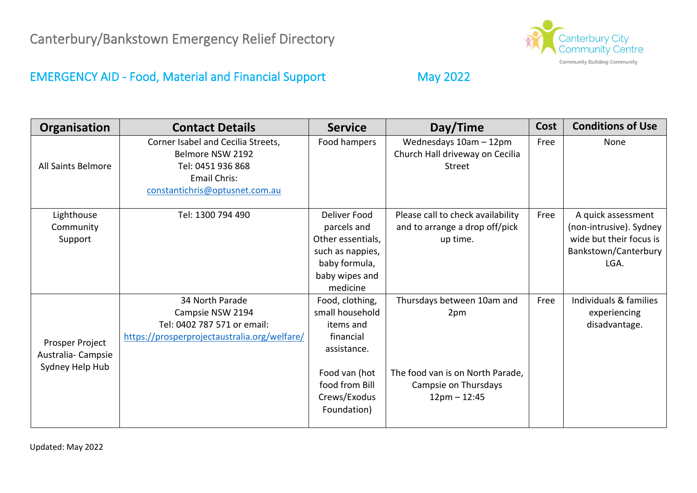

### EMERGENCY AID - Food, Material and Financial Support May 2022

| Organisation                                            | <b>Contact Details</b>                                                                                                               | <b>Service</b>                                                                                                                                | Day/Time                                                                                                        | <b>Cost</b> | <b>Conditions of Use</b>                                                                                 |
|---------------------------------------------------------|--------------------------------------------------------------------------------------------------------------------------------------|-----------------------------------------------------------------------------------------------------------------------------------------------|-----------------------------------------------------------------------------------------------------------------|-------------|----------------------------------------------------------------------------------------------------------|
| All Saints Belmore                                      | Corner Isabel and Cecilia Streets,<br>Belmore NSW 2192<br>Tel: 0451 936 868<br><b>Email Chris:</b><br>constantichris@optusnet.com.au | Food hampers                                                                                                                                  | Wednesdays 10am - 12pm<br>Church Hall driveway on Cecilia<br>Street                                             | Free        | None                                                                                                     |
| Lighthouse<br>Community<br>Support                      | Tel: 1300 794 490                                                                                                                    | Deliver Food<br>parcels and<br>Other essentials,<br>such as nappies,<br>baby formula,<br>baby wipes and<br>medicine                           | Please call to check availability<br>and to arrange a drop off/pick<br>up time.                                 | Free        | A quick assessment<br>(non-intrusive). Sydney<br>wide but their focus is<br>Bankstown/Canterbury<br>LGA. |
| Prosper Project<br>Australia-Campsie<br>Sydney Help Hub | 34 North Parade<br>Campsie NSW 2194<br>Tel: 0402 787 571 or email:<br>https://prosperprojectaustralia.org/welfare/                   | Food, clothing,<br>small household<br>items and<br>financial<br>assistance.<br>Food van (hot<br>food from Bill<br>Crews/Exodus<br>Foundation) | Thursdays between 10am and<br>2pm<br>The food van is on North Parade,<br>Campsie on Thursdays<br>$12pm - 12:45$ | Free        | Individuals & families<br>experiencing<br>disadvantage.                                                  |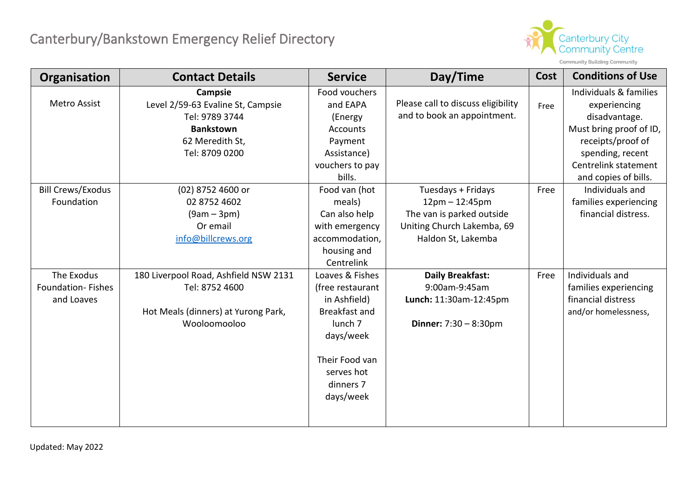

| Organisation                                  | <b>Contact Details</b>                                                                                                  | <b>Service</b>                                                                                                                                                    | Day/Time                                                                                                                | Cost | <b>Conditions of Use</b>                                                                                                                                                    |
|-----------------------------------------------|-------------------------------------------------------------------------------------------------------------------------|-------------------------------------------------------------------------------------------------------------------------------------------------------------------|-------------------------------------------------------------------------------------------------------------------------|------|-----------------------------------------------------------------------------------------------------------------------------------------------------------------------------|
| <b>Metro Assist</b>                           | Campsie<br>Level 2/59-63 Evaline St, Campsie<br>Tel: 9789 3744<br><b>Bankstown</b><br>62 Meredith St,<br>Tel: 8709 0200 | Food vouchers<br>and EAPA<br>(Energy<br><b>Accounts</b><br>Payment<br>Assistance)<br>vouchers to pay<br>bills.                                                    | Please call to discuss eligibility<br>and to book an appointment.                                                       | Free | Individuals & families<br>experiencing<br>disadvantage.<br>Must bring proof of ID,<br>receipts/proof of<br>spending, recent<br>Centrelink statement<br>and copies of bills. |
| <b>Bill Crews/Exodus</b><br>Foundation        | (02) 8752 4600 or<br>02 8752 4602<br>$(9am - 3pm)$<br>Or email<br>info@billcrews.org                                    | Food van (hot<br>meals)<br>Can also help<br>with emergency<br>accommodation,<br>housing and<br>Centrelink                                                         | Tuesdays + Fridays<br>$12pm - 12:45pm$<br>The van is parked outside<br>Uniting Church Lakemba, 69<br>Haldon St, Lakemba | Free | Individuals and<br>families experiencing<br>financial distress.                                                                                                             |
| The Exodus<br>Foundation-Fishes<br>and Loaves | 180 Liverpool Road, Ashfield NSW 2131<br>Tel: 8752 4600<br>Hot Meals (dinners) at Yurong Park,<br>Wooloomooloo          | Loaves & Fishes<br>(free restaurant<br>in Ashfield)<br>Breakfast and<br>lunch <sub>7</sub><br>days/week<br>Their Food van<br>serves hot<br>dinners 7<br>days/week | <b>Daily Breakfast:</b><br>9:00am-9:45am<br>Lunch: 11:30am-12:45pm<br><b>Dinner:</b> $7:30 - 8:30 \text{pm}$            | Free | Individuals and<br>families experiencing<br>financial distress<br>and/or homelessness,                                                                                      |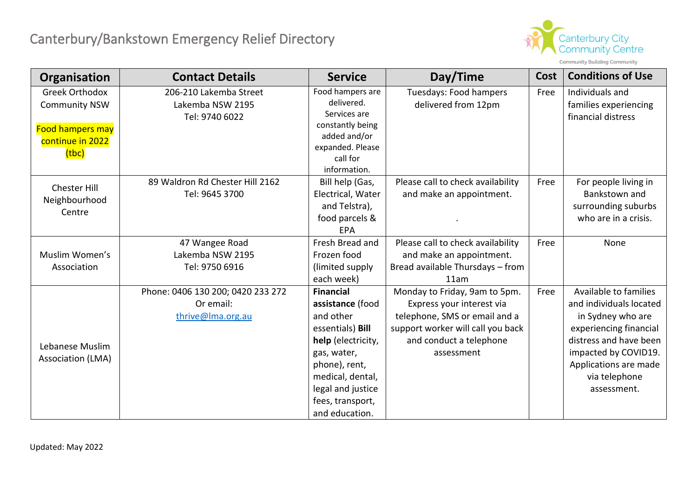

| Organisation            | <b>Contact Details</b>            | <b>Service</b>                 | Day/Time                          | <b>Cost</b> | <b>Conditions of Use</b> |
|-------------------------|-----------------------------------|--------------------------------|-----------------------------------|-------------|--------------------------|
| <b>Greek Orthodox</b>   | 206-210 Lakemba Street            | Food hampers are<br>delivered. | Tuesdays: Food hampers            | Free        | Individuals and          |
| <b>Community NSW</b>    | Lakemba NSW 2195                  | Services are                   | delivered from 12pm               |             | families experiencing    |
|                         | Tel: 9740 6022                    | constantly being               |                                   |             | financial distress       |
| <b>Food hampers may</b> |                                   | added and/or                   |                                   |             |                          |
| continue in 2022        |                                   | expanded. Please               |                                   |             |                          |
| (tbc)                   |                                   | call for                       |                                   |             |                          |
|                         |                                   | information.                   |                                   |             |                          |
| <b>Chester Hill</b>     | 89 Waldron Rd Chester Hill 2162   | Bill help (Gas,                | Please call to check availability | Free        | For people living in     |
| Neighbourhood           | Tel: 9645 3700                    | Electrical, Water              | and make an appointment.          |             | Bankstown and            |
| Centre                  |                                   | and Telstra),                  |                                   |             | surrounding suburbs      |
|                         |                                   | food parcels &                 |                                   |             | who are in a crisis.     |
|                         |                                   | <b>EPA</b>                     |                                   |             |                          |
|                         | 47 Wangee Road                    | Fresh Bread and                | Please call to check availability | Free        | None                     |
| Muslim Women's          | Lakemba NSW 2195                  | Frozen food                    | and make an appointment.          |             |                          |
| Association             | Tel: 9750 6916                    | (limited supply)               | Bread available Thursdays - from  |             |                          |
|                         |                                   | each week)                     | 11am                              |             |                          |
|                         | Phone: 0406 130 200; 0420 233 272 | <b>Financial</b>               | Monday to Friday, 9am to 5pm.     | Free        | Available to families    |
|                         | Or email:                         | assistance (food               | Express your interest via         |             | and individuals located  |
|                         | thrive@Ima.org.au                 | and other                      | telephone, SMS or email and a     |             | in Sydney who are        |
|                         |                                   | essentials) Bill               | support worker will call you back |             | experiencing financial   |
| Lebanese Muslim         |                                   | help (electricity,             | and conduct a telephone           |             | distress and have been   |
| Association (LMA)       |                                   | gas, water,                    | assessment                        |             | impacted by COVID19.     |
|                         |                                   | phone), rent,                  |                                   |             | Applications are made    |
|                         |                                   | medical, dental,               |                                   |             | via telephone            |
|                         |                                   | legal and justice              |                                   |             | assessment.              |
|                         |                                   | fees, transport,               |                                   |             |                          |
|                         |                                   | and education.                 |                                   |             |                          |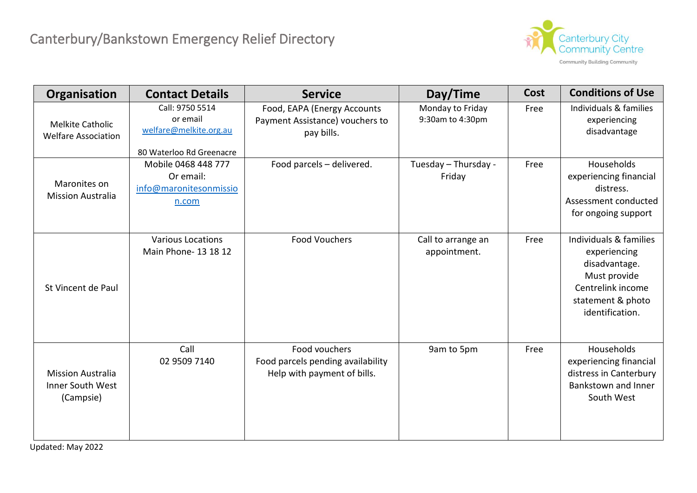

| Organisation                                              | <b>Contact Details</b>                                                            | <b>Service</b>                                                                    | Day/Time                             | Cost | <b>Conditions of Use</b>                                                                                                             |
|-----------------------------------------------------------|-----------------------------------------------------------------------------------|-----------------------------------------------------------------------------------|--------------------------------------|------|--------------------------------------------------------------------------------------------------------------------------------------|
| <b>Melkite Catholic</b><br><b>Welfare Association</b>     | Call: 9750 5514<br>or email<br>welfare@melkite.org.au<br>80 Waterloo Rd Greenacre | Food, EAPA (Energy Accounts<br>Payment Assistance) vouchers to<br>pay bills.      | Monday to Friday<br>9:30am to 4:30pm | Free | Individuals & families<br>experiencing<br>disadvantage                                                                               |
| Maronites on<br><b>Mission Australia</b>                  | Mobile 0468 448 777<br>Or email:<br>info@maronitesonmissio<br>n.com               | Food parcels - delivered.                                                         | Tuesday - Thursday -<br>Friday       | Free | Households<br>experiencing financial<br>distress.<br>Assessment conducted<br>for ongoing support                                     |
| St Vincent de Paul                                        | <b>Various Locations</b><br>Main Phone- 13 18 12                                  | <b>Food Vouchers</b>                                                              | Call to arrange an<br>appointment.   | Free | Individuals & families<br>experiencing<br>disadvantage.<br>Must provide<br>Centrelink income<br>statement & photo<br>identification. |
| <b>Mission Australia</b><br>Inner South West<br>(Campsie) | Call<br>02 9509 7140                                                              | Food vouchers<br>Food parcels pending availability<br>Help with payment of bills. | 9am to 5pm                           | Free | Households<br>experiencing financial<br>distress in Canterbury<br>Bankstown and Inner<br>South West                                  |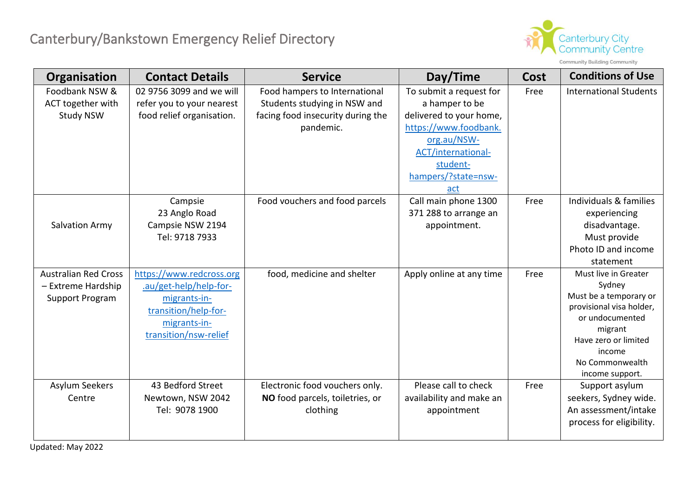

Community Building Community

| Organisation                | <b>Contact Details</b>    | <b>Service</b>                    | Day/Time                 | Cost | <b>Conditions of Use</b>        |
|-----------------------------|---------------------------|-----------------------------------|--------------------------|------|---------------------------------|
| Foodbank NSW &              | 02 9756 3099 and we will  | Food hampers to International     | To submit a request for  | Free | <b>International Students</b>   |
| ACT together with           | refer you to your nearest | Students studying in NSW and      | a hamper to be           |      |                                 |
| <b>Study NSW</b>            | food relief organisation. | facing food insecurity during the | delivered to your home,  |      |                                 |
|                             |                           | pandemic.                         | https://www.foodbank.    |      |                                 |
|                             |                           |                                   | org.au/NSW-              |      |                                 |
|                             |                           |                                   | ACT/international-       |      |                                 |
|                             |                           |                                   | student-                 |      |                                 |
|                             |                           |                                   | hampers/?state=nsw-      |      |                                 |
|                             |                           |                                   | <u>act</u>               |      |                                 |
|                             | Campsie                   | Food vouchers and food parcels    | Call main phone 1300     | Free | Individuals & families          |
|                             | 23 Anglo Road             |                                   | 371 288 to arrange an    |      | experiencing                    |
| <b>Salvation Army</b>       | Campsie NSW 2194          |                                   | appointment.             |      | disadvantage.                   |
|                             | Tel: 9718 7933            |                                   |                          |      | Must provide                    |
|                             |                           |                                   |                          |      | Photo ID and income             |
|                             |                           |                                   |                          |      | statement                       |
| <b>Australian Red Cross</b> | https://www.redcross.org  | food, medicine and shelter        | Apply online at any time | Free | Must live in Greater            |
| - Extreme Hardship          | .au/get-help/help-for-    |                                   |                          |      | Sydney                          |
| Support Program             | migrants-in-              |                                   |                          |      | Must be a temporary or          |
|                             | transition/help-for-      |                                   |                          |      | provisional visa holder,        |
|                             | migrants-in-              |                                   |                          |      | or undocumented                 |
|                             | transition/nsw-relief     |                                   |                          |      | migrant<br>Have zero or limited |
|                             |                           |                                   |                          |      | income                          |
|                             |                           |                                   |                          |      | No Commonwealth                 |
|                             |                           |                                   |                          |      | income support.                 |
| <b>Asylum Seekers</b>       | 43 Bedford Street         | Electronic food vouchers only.    | Please call to check     | Free | Support asylum                  |
| Centre                      | Newtown, NSW 2042         | NO food parcels, toiletries, or   | availability and make an |      | seekers, Sydney wide.           |
|                             | Tel: 9078 1900            | clothing                          | appointment              |      | An assessment/intake            |
|                             |                           |                                   |                          |      | process for eligibility.        |
|                             |                           |                                   |                          |      |                                 |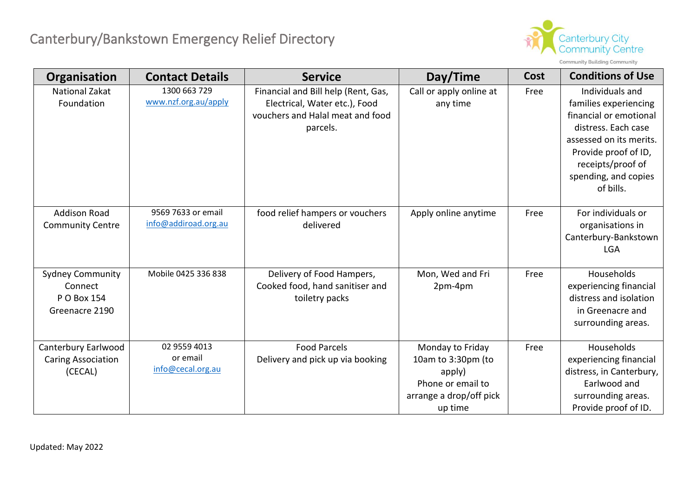

| Organisation                                                        | <b>Contact Details</b>                        | <b>Service</b>                                                                                                       | Day/Time                                                                                                    | Cost | <b>Conditions of Use</b>                                                                                                                                                                               |
|---------------------------------------------------------------------|-----------------------------------------------|----------------------------------------------------------------------------------------------------------------------|-------------------------------------------------------------------------------------------------------------|------|--------------------------------------------------------------------------------------------------------------------------------------------------------------------------------------------------------|
| <b>National Zakat</b><br>Foundation                                 | 1300 663 729<br>www.nzf.org.au/apply          | Financial and Bill help (Rent, Gas,<br>Electrical, Water etc.), Food<br>vouchers and Halal meat and food<br>parcels. | Call or apply online at<br>any time                                                                         | Free | Individuals and<br>families experiencing<br>financial or emotional<br>distress. Each case<br>assessed on its merits.<br>Provide proof of ID,<br>receipts/proof of<br>spending, and copies<br>of bills. |
| <b>Addison Road</b><br><b>Community Centre</b>                      | 9569 7633 or email<br>info@addiroad.org.au    | food relief hampers or vouchers<br>delivered                                                                         | Apply online anytime                                                                                        | Free | For individuals or<br>organisations in<br>Canterbury-Bankstown<br><b>LGA</b>                                                                                                                           |
| <b>Sydney Community</b><br>Connect<br>P O Box 154<br>Greenacre 2190 | Mobile 0425 336 838                           | Delivery of Food Hampers,<br>Cooked food, hand sanitiser and<br>toiletry packs                                       | Mon, Wed and Fri<br>2pm-4pm                                                                                 | Free | Households<br>experiencing financial<br>distress and isolation<br>in Greenacre and<br>surrounding areas.                                                                                               |
| Canterbury Earlwood<br><b>Caring Association</b><br>(CECAL)         | 02 9559 4013<br>or email<br>info@cecal.org.au | <b>Food Parcels</b><br>Delivery and pick up via booking                                                              | Monday to Friday<br>10am to 3:30pm (to<br>apply)<br>Phone or email to<br>arrange a drop/off pick<br>up time | Free | Households<br>experiencing financial<br>distress, in Canterbury,<br>Earlwood and<br>surrounding areas.<br>Provide proof of ID.                                                                         |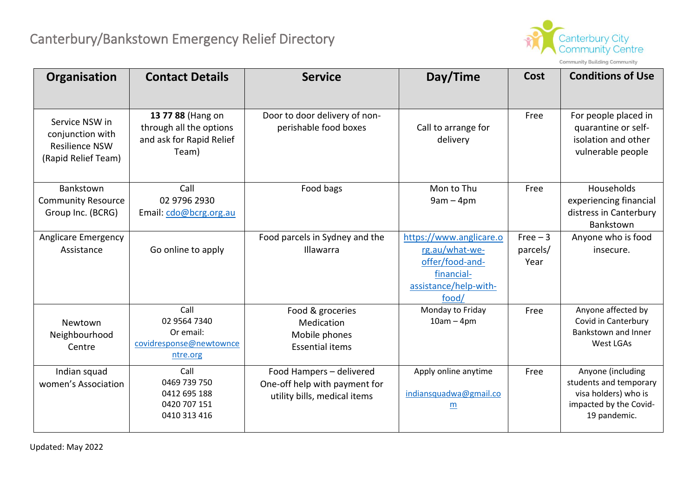

Community Building Community

| Organisation                                                                       | <b>Contact Details</b>                                                            | <b>Service</b>                                                                            | Day/Time                                                                                                     | <b>Cost</b>                  | <b>Conditions of Use</b>                                                                                      |
|------------------------------------------------------------------------------------|-----------------------------------------------------------------------------------|-------------------------------------------------------------------------------------------|--------------------------------------------------------------------------------------------------------------|------------------------------|---------------------------------------------------------------------------------------------------------------|
| Service NSW in<br>conjunction with<br><b>Resilience NSW</b><br>(Rapid Relief Team) | 13 77 88 (Hang on<br>through all the options<br>and ask for Rapid Relief<br>Team) | Door to door delivery of non-<br>perishable food boxes                                    | Call to arrange for<br>delivery                                                                              | Free                         | For people placed in<br>quarantine or self-<br>isolation and other<br>vulnerable people                       |
| Bankstown<br><b>Community Resource</b><br>Group Inc. (BCRG)                        | Call<br>02 9796 2930<br>Email: cdo@bcrg.org.au                                    | Food bags                                                                                 | Mon to Thu<br>$9am - 4pm$                                                                                    | Free                         | Households<br>experiencing financial<br>distress in Canterbury<br>Bankstown                                   |
| Anglicare Emergency<br>Assistance                                                  | Go online to apply                                                                | Food parcels in Sydney and the<br>Illawarra                                               | https://www.anglicare.o<br>rg.au/what-we-<br>offer/food-and-<br>financial-<br>assistance/help-with-<br>food/ | $Free-3$<br>parcels/<br>Year | Anyone who is food<br>insecure.                                                                               |
| Newtown<br>Neighbourhood<br>Centre                                                 | Call<br>02 9564 7340<br>Or email:<br>covidresponse@newtownce<br>ntre.org          | Food & groceries<br>Medication<br>Mobile phones<br><b>Essential items</b>                 | Monday to Friday<br>$10am - 4pm$                                                                             | Free                         | Anyone affected by<br>Covid in Canterbury<br><b>Bankstown and Inner</b><br>West LGAs                          |
| Indian squad<br>women's Association                                                | Call<br>0469 739 750<br>0412 695 188<br>0420 707 151<br>0410 313 416              | Food Hampers - delivered<br>One-off help with payment for<br>utility bills, medical items | Apply online anytime<br>indiansquadwa@gmail.co<br>m                                                          | Free                         | Anyone (including<br>students and temporary<br>visa holders) who is<br>impacted by the Covid-<br>19 pandemic. |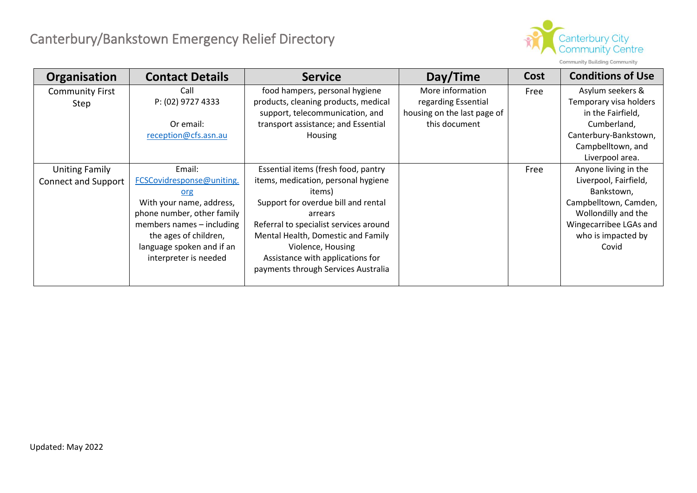

| <b>Community Building Community</b> |  |  |
|-------------------------------------|--|--|
|-------------------------------------|--|--|

| Organisation               | <b>Contact Details</b>     | <b>Service</b>                         | Day/Time                    | Cost | <b>Conditions of Use</b> |
|----------------------------|----------------------------|----------------------------------------|-----------------------------|------|--------------------------|
| <b>Community First</b>     | Call                       | food hampers, personal hygiene         | More information            | Free | Asylum seekers &         |
| Step                       | P: (02) 9727 4333          | products, cleaning products, medical   | regarding Essential         |      | Temporary visa holders   |
|                            |                            | support, telecommunication, and        | housing on the last page of |      | in the Fairfield,        |
|                            | Or email:                  | transport assistance; and Essential    | this document               |      | Cumberland,              |
|                            | reception@cfs.asn.au       | Housing                                |                             |      | Canterbury-Bankstown,    |
|                            |                            |                                        |                             |      | Campbelltown, and        |
|                            |                            |                                        |                             |      | Liverpool area.          |
| <b>Uniting Family</b>      | Email:                     | Essential items (fresh food, pantry    |                             | Free | Anyone living in the     |
| <b>Connect and Support</b> | FCSCovidresponse@uniting.  | items, medication, personal hygiene    |                             |      | Liverpool, Fairfield,    |
|                            | org                        | items)                                 |                             |      | Bankstown,               |
|                            | With your name, address,   | Support for overdue bill and rental    |                             |      | Campbelltown, Camden,    |
|                            | phone number, other family | arrears                                |                             |      | Wollondilly and the      |
|                            | members names - including  | Referral to specialist services around |                             |      | Wingecarribee LGAs and   |
|                            | the ages of children,      | Mental Health, Domestic and Family     |                             |      | who is impacted by       |
|                            | language spoken and if an  | Violence, Housing                      |                             |      | Covid                    |
|                            | interpreter is needed      | Assistance with applications for       |                             |      |                          |
|                            |                            | payments through Services Australia    |                             |      |                          |
|                            |                            |                                        |                             |      |                          |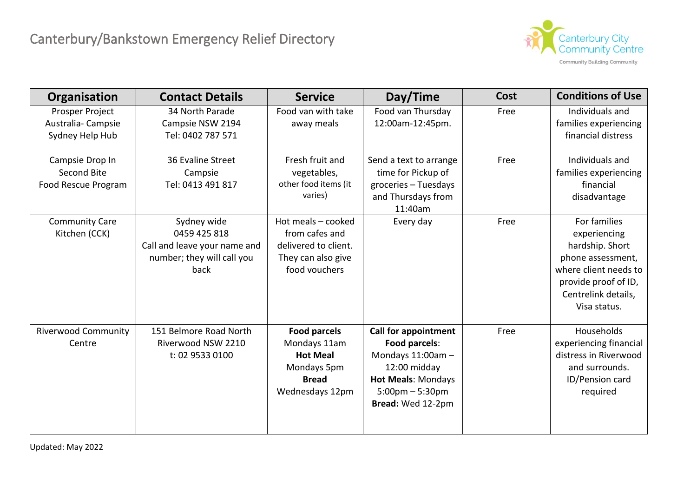

| Organisation                                            | <b>Contact Details</b>                                                                            | <b>Service</b>                                                                                           | Day/Time                                                                                                                                                    | Cost | <b>Conditions of Use</b>                                                                                                                                     |
|---------------------------------------------------------|---------------------------------------------------------------------------------------------------|----------------------------------------------------------------------------------------------------------|-------------------------------------------------------------------------------------------------------------------------------------------------------------|------|--------------------------------------------------------------------------------------------------------------------------------------------------------------|
| Prosper Project<br>Australia-Campsie<br>Sydney Help Hub | 34 North Parade<br>Campsie NSW 2194<br>Tel: 0402 787 571                                          | Food van with take<br>away meals                                                                         | Food van Thursday<br>12:00am-12:45pm.                                                                                                                       | Free | Individuals and<br>families experiencing<br>financial distress                                                                                               |
| Campsie Drop In<br>Second Bite<br>Food Rescue Program   | 36 Evaline Street<br>Campsie<br>Tel: 0413 491 817                                                 | Fresh fruit and<br>vegetables,<br>other food items (it<br>varies)                                        | Send a text to arrange<br>time for Pickup of<br>groceries - Tuesdays<br>and Thursdays from<br>11:40am                                                       | Free | Individuals and<br>families experiencing<br>financial<br>disadvantage                                                                                        |
| <b>Community Care</b><br>Kitchen (CCK)                  | Sydney wide<br>0459 425 818<br>Call and leave your name and<br>number; they will call you<br>back | Hot meals - cooked<br>from cafes and<br>delivered to client.<br>They can also give<br>food vouchers      | Every day                                                                                                                                                   | Free | For families<br>experiencing<br>hardship. Short<br>phone assessment,<br>where client needs to<br>provide proof of ID,<br>Centrelink details,<br>Visa status. |
| <b>Riverwood Community</b><br>Centre                    | 151 Belmore Road North<br>Riverwood NSW 2210<br>t: 02 9533 0100                                   | <b>Food parcels</b><br>Mondays 11am<br><b>Hot Meal</b><br>Mondays 5pm<br><b>Bread</b><br>Wednesdays 12pm | <b>Call for appointment</b><br>Food parcels:<br>Mondays 11:00am-<br>12:00 midday<br><b>Hot Meals: Mondays</b><br>$5:00$ pm – $5:30$ pm<br>Bread: Wed 12-2pm | Free | Households<br>experiencing financial<br>distress in Riverwood<br>and surrounds.<br>ID/Pension card<br>required                                               |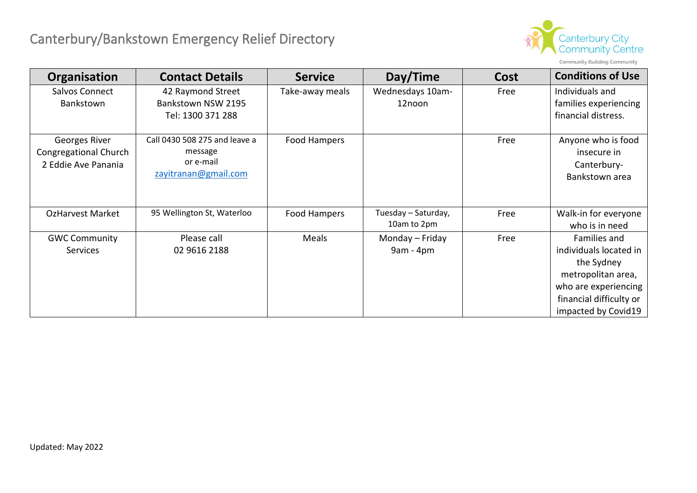

| Organisation                                                  | <b>Contact Details</b>                                                        | <b>Service</b>  | Day/Time                           | Cost | <b>Conditions of Use</b>                                           |
|---------------------------------------------------------------|-------------------------------------------------------------------------------|-----------------|------------------------------------|------|--------------------------------------------------------------------|
| Salvos Connect<br>Bankstown                                   | 42 Raymond Street<br>Bankstown NSW 2195                                       | Take-away meals | Wednesdays 10am-<br>12noon         | Free | Individuals and<br>families experiencing                           |
|                                                               | Tel: 1300 371 288                                                             |                 |                                    |      | financial distress.                                                |
| Georges River<br>Congregational Church<br>2 Eddie Ave Panania | Call 0430 508 275 and leave a<br>message<br>or e-mail<br>zayitranan@gmail.com | Food Hampers    |                                    | Free | Anyone who is food<br>insecure in<br>Canterbury-<br>Bankstown area |
| <b>OzHarvest Market</b>                                       | 95 Wellington St, Waterloo                                                    | Food Hampers    | Tuesday - Saturday,<br>10am to 2pm | Free | Walk-in for everyone<br>who is in need                             |
| <b>GWC Community</b>                                          | Please call                                                                   | Meals           | Monday - Friday                    | Free | Families and                                                       |
| <b>Services</b>                                               | 02 9616 2188                                                                  |                 | $9am - 4pm$                        |      | individuals located in                                             |
|                                                               |                                                                               |                 |                                    |      | the Sydney                                                         |
|                                                               |                                                                               |                 |                                    |      | metropolitan area,                                                 |
|                                                               |                                                                               |                 |                                    |      | who are experiencing                                               |
|                                                               |                                                                               |                 |                                    |      | financial difficulty or                                            |
|                                                               |                                                                               |                 |                                    |      | impacted by Covid19                                                |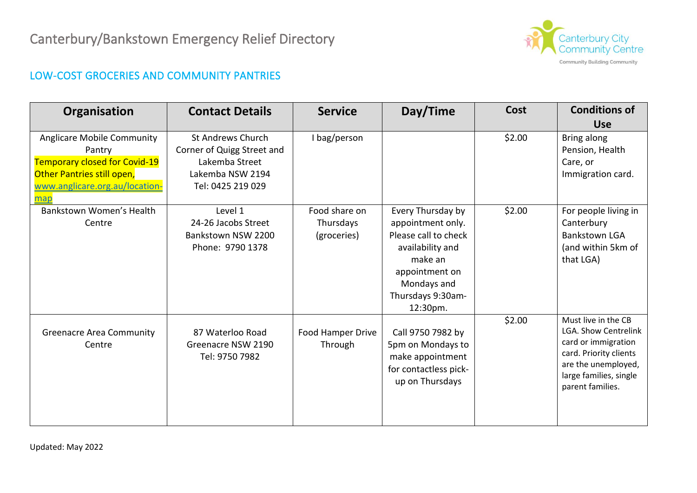

### LOW-COST GROCERIES AND COMMUNITY PANTRIES

| Organisation                                                                                                                                        | <b>Contact Details</b>                                                                                     | <b>Service</b>                            | Day/Time                                                                                                                                                        | Cost   | <b>Conditions of</b>                                                                                                                                              |
|-----------------------------------------------------------------------------------------------------------------------------------------------------|------------------------------------------------------------------------------------------------------------|-------------------------------------------|-----------------------------------------------------------------------------------------------------------------------------------------------------------------|--------|-------------------------------------------------------------------------------------------------------------------------------------------------------------------|
|                                                                                                                                                     |                                                                                                            |                                           |                                                                                                                                                                 |        | <b>Use</b>                                                                                                                                                        |
| Anglicare Mobile Community<br>Pantry<br><b>Temporary closed for Covid-19</b><br>Other Pantries still open,<br>www.anglicare.org.au/location-<br>map | St Andrews Church<br>Corner of Quigg Street and<br>Lakemba Street<br>Lakemba NSW 2194<br>Tel: 0425 219 029 | I bag/person                              |                                                                                                                                                                 | \$2.00 | Bring along<br>Pension, Health<br>Care, or<br>Immigration card.                                                                                                   |
| Bankstown Women's Health<br>Centre                                                                                                                  | Level 1<br>24-26 Jacobs Street<br>Bankstown NSW 2200<br>Phone: 9790 1378                                   | Food share on<br>Thursdays<br>(groceries) | Every Thursday by<br>appointment only.<br>Please call to check<br>availability and<br>make an<br>appointment on<br>Mondays and<br>Thursdays 9:30am-<br>12:30pm. | \$2.00 | For people living in<br>Canterbury<br><b>Bankstown LGA</b><br>(and within 5km of<br>that LGA)                                                                     |
| <b>Greenacre Area Community</b><br>Centre                                                                                                           | 87 Waterloo Road<br>Greenacre NSW 2190<br>Tel: 9750 7982                                                   | Food Hamper Drive<br>Through              | Call 9750 7982 by<br>5pm on Mondays to<br>make appointment<br>for contactless pick-<br>up on Thursdays                                                          | \$2.00 | Must live in the CB<br>LGA. Show Centrelink<br>card or immigration<br>card. Priority clients<br>are the unemployed,<br>large families, single<br>parent families. |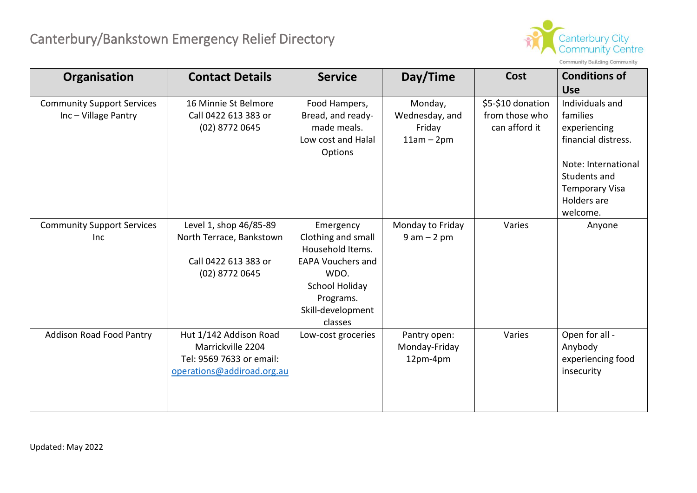

| Organisation                                              | <b>Contact Details</b>                                                                                | <b>Service</b>                                                                                                                                         | Day/Time                                            | Cost                                                 | <b>Conditions of</b><br><b>Use</b>                                                                                                                            |
|-----------------------------------------------------------|-------------------------------------------------------------------------------------------------------|--------------------------------------------------------------------------------------------------------------------------------------------------------|-----------------------------------------------------|------------------------------------------------------|---------------------------------------------------------------------------------------------------------------------------------------------------------------|
| <b>Community Support Services</b><br>Inc - Village Pantry | 16 Minnie St Belmore<br>Call 0422 613 383 or<br>(02) 8772 0645                                        | Food Hampers,<br>Bread, and ready-<br>made meals.<br>Low cost and Halal<br>Options                                                                     | Monday,<br>Wednesday, and<br>Friday<br>$11am - 2pm$ | \$5-\$10 donation<br>from those who<br>can afford it | Individuals and<br>families<br>experiencing<br>financial distress.<br>Note: International<br>Students and<br><b>Temporary Visa</b><br>Holders are<br>welcome. |
| <b>Community Support Services</b><br>Inc                  | Level 1, shop 46/85-89<br>North Terrace, Bankstown<br>Call 0422 613 383 or<br>(02) 8772 0645          | Emergency<br>Clothing and small<br>Household Items.<br><b>EAPA Vouchers and</b><br>WDO.<br>School Holiday<br>Programs.<br>Skill-development<br>classes | Monday to Friday<br>$9 am - 2 pm$                   | Varies                                               | Anyone                                                                                                                                                        |
| <b>Addison Road Food Pantry</b>                           | Hut 1/142 Addison Road<br>Marrickville 2204<br>Tel: 9569 7633 or email:<br>operations@addiroad.org.au | Low-cost groceries                                                                                                                                     | Pantry open:<br>Monday-Friday<br>12pm-4pm           | Varies                                               | Open for all -<br>Anybody<br>experiencing food<br>insecurity                                                                                                  |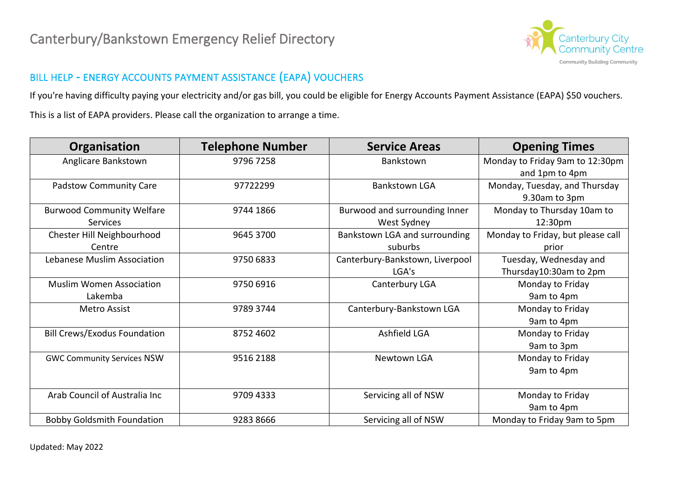

### BILL HELP - ENERGY ACCOUNTS PAYMENT ASSISTANCE (EAPA) VOUCHERS

If you're having difficulty paying your electricity and/or gas bill, you could be eligible for Energy Accounts Payment Assistance (EAPA) \$50 vouchers. This is a list of EAPA providers. Please call the organization to arrange a time.

| Organisation                        | <b>Telephone Number</b> | <b>Service Areas</b>            | <b>Opening Times</b>              |
|-------------------------------------|-------------------------|---------------------------------|-----------------------------------|
| Anglicare Bankstown                 | 9796 7258               | Bankstown                       | Monday to Friday 9am to 12:30pm   |
|                                     |                         |                                 | and 1pm to 4pm                    |
| <b>Padstow Community Care</b>       | 97722299                | <b>Bankstown LGA</b>            | Monday, Tuesday, and Thursday     |
|                                     |                         |                                 | 9.30am to 3pm                     |
| <b>Burwood Community Welfare</b>    | 9744 1866               | Burwood and surrounding Inner   | Monday to Thursday 10am to        |
| <b>Services</b>                     |                         | West Sydney                     | 12:30pm                           |
| Chester Hill Neighbourhood          | 9645 3700               | Bankstown LGA and surrounding   | Monday to Friday, but please call |
| Centre                              |                         | suburbs                         | prior                             |
| Lebanese Muslim Association         | 9750 6833               | Canterbury-Bankstown, Liverpool | Tuesday, Wednesday and            |
|                                     |                         | LGA's                           | Thursday10:30am to 2pm            |
| <b>Muslim Women Association</b>     | 9750 6916               | Canterbury LGA                  | Monday to Friday                  |
| Lakemba                             |                         |                                 | 9am to 4pm                        |
| Metro Assist                        | 9789 3744               | Canterbury-Bankstown LGA        | Monday to Friday                  |
|                                     |                         |                                 | 9am to 4pm                        |
| <b>Bill Crews/Exodus Foundation</b> | 8752 4602               | Ashfield LGA                    | Monday to Friday                  |
|                                     |                         |                                 | 9am to 3pm                        |
| <b>GWC Community Services NSW</b>   | 9516 2188               | Newtown LGA                     | Monday to Friday                  |
|                                     |                         |                                 | 9am to 4pm                        |
|                                     |                         |                                 |                                   |
| Arab Council of Australia Inc       | 9709 4333               | Servicing all of NSW            | Monday to Friday                  |
|                                     |                         |                                 | 9am to 4pm                        |
| <b>Bobby Goldsmith Foundation</b>   | 9283 8666               | Servicing all of NSW            | Monday to Friday 9am to 5pm       |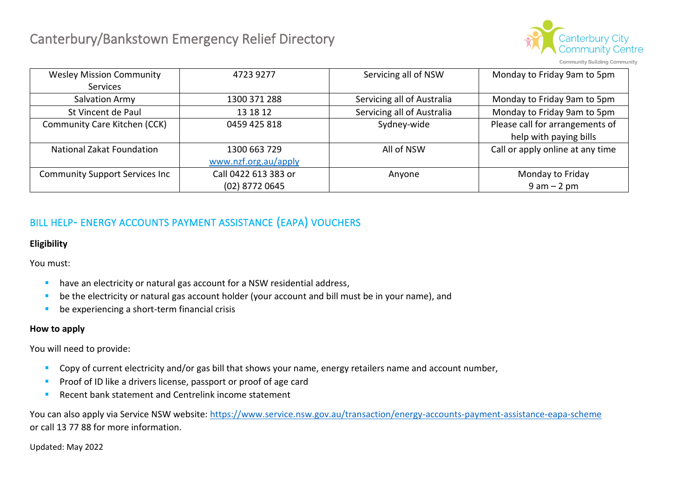

Community Building Community

| <b>Wesley Mission Community</b>        | 4723 9277            | Servicing all of NSW       | Monday to Friday 9am to 5pm      |
|----------------------------------------|----------------------|----------------------------|----------------------------------|
| <b>Services</b>                        |                      |                            |                                  |
| Salvation Army                         | 1300 371 288         | Servicing all of Australia | Monday to Friday 9am to 5pm      |
| St Vincent de Paul                     | 13 18 12             | Servicing all of Australia | Monday to Friday 9am to 5pm      |
| Community Care Kitchen (CCK)           | 0459 425 818         | Sydney-wide                | Please call for arrangements of  |
|                                        |                      |                            | help with paying bills           |
| <b>National Zakat Foundation</b>       | 1300 663 729         | All of NSW                 | Call or apply online at any time |
|                                        | www.nzf.org.au/apply |                            |                                  |
| <b>Community Support Services Inc.</b> | Call 0422 613 383 or | Anyone                     | Monday to Friday                 |
|                                        | (02) 8772 0645       |                            | $9 am - 2 pm$                    |

### BILL HELP- ENERGY ACCOUNTS PAYMENT ASSISTANCE (EAPA) VOUCHERS

#### **Eligibility**

You must:

- have an electricity or natural gas account for a NSW residential address,
- be the electricity or natural gas account holder (your account and bill must be in your name), and
- be experiencing a short-term financial crisis

#### **How to apply**

You will need to provide:

- Copy of current electricity and/or gas bill that shows your name, energy retailers name and account number,
- **•** Proof of ID like a drivers license, passport or proof of age card
- Recent bank statement and Centrelink income statement

You can also apply via Service NSW website: [https://www.service.nsw.gov.au/transaction/energy-accounts-payment-assistance-eapa-scheme](about:blank) or call 13 77 88 for more information.